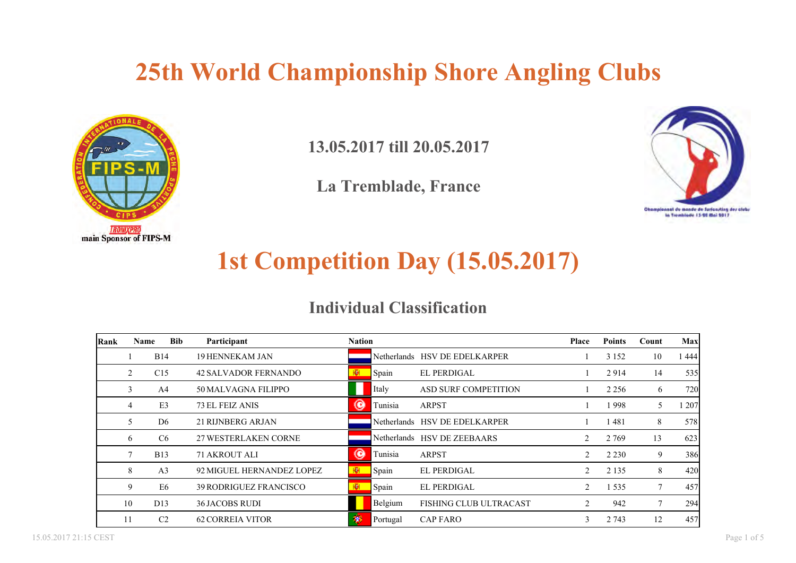

**13.05.2017 till 20.05.2017**

**La Tremblade, France**



### **1st Competition Day (15.05.2017)**

### **Individual Classification**

| Rank | Name | <b>Bib</b>      | Participant                   | <b>Nation</b> |          |                               | <b>Place</b> | <b>Points</b> | Count | <b>Max</b>          |
|------|------|-----------------|-------------------------------|---------------|----------|-------------------------------|--------------|---------------|-------|---------------------|
|      |      | <b>B</b> 14     | <b>19 HENNEKAM JAN</b>        |               |          | Netherlands HSV DE EDELKARPER |              | 3 1 5 2       | 10    | 1 444               |
|      |      | C15             | <b>42 SALVADOR FERNANDO</b>   | 图             | Spain    | <b>EL PERDIGAL</b>            |              | 2914          | 14    | 535                 |
|      | 3    | A <sup>4</sup>  | 50 MALVAGNA FILIPPO           |               | Italy    | ASD SURF COMPETITION          |              | 2 2 5 6       | 6     | <b>720</b>          |
|      | 4    | E3              | 73 EL FEIZ ANIS               | ◉             | Tunisia  | <b>ARPST</b>                  |              | 1998          | 5     | $\left  207\right $ |
|      | 5    | D <sub>6</sub>  | <b>21 RIJNBERG ARJAN</b>      |               |          | Netherlands HSV DE EDELKARPER |              | 1 481         | 8     | 578                 |
|      | 6    | C6              | <b>27 WESTERLAKEN CORNE</b>   |               |          | Netherlands HSV DE ZEEBAARS   | 2            | 2 7 6 9       | 13    | 623                 |
|      | 7    | <b>B</b> 13     | 71 AKROUT ALI                 | ◉             | Tunisia  | <b>ARPST</b>                  | 2            | 2 2 3 0       | 9     | 386                 |
|      | 8    | A <sub>3</sub>  | 92 MIGUEL HERNANDEZ LOPEZ     | <b>R</b>      | Spain    | EL PERDIGAL                   | 2            | 2 1 3 5       | 8     | 420                 |
|      | 9    | E6              | <b>39 RODRIGUEZ FRANCISCO</b> | 图             | Spain    | <b>EL PERDIGAL</b>            | 2            | 1 5 3 5       |       | 457                 |
|      | 10   | D <sub>13</sub> | <b>36 JACOBS RUDI</b>         |               | Belgium  | <b>FISHING CLUB ULTRACAST</b> | 2            | 942           |       | 294                 |
|      | 11   | C <sub>2</sub>  | <b>62 CORREIA VITOR</b>       | 掬             | Portugal | <b>CAP FARO</b>               | 3            | 2 7 4 3       | 12    | 457                 |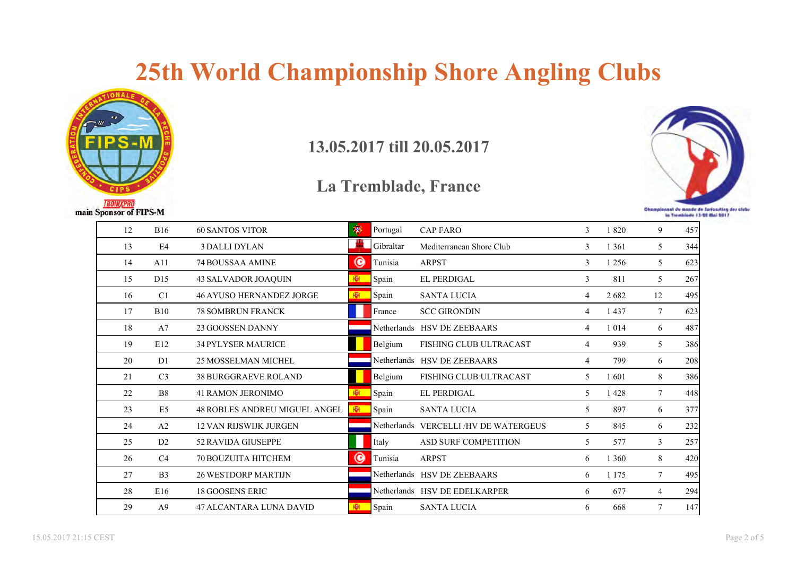

#### **13.05.2017 till 20.05.2017**



| 12 | <b>B16</b>      | <b>60 SANTOS VITOR</b>          | 溷        | Portugal    | <b>CAP FARO</b>                 | 3              | 1820    | 9      | 457 |
|----|-----------------|---------------------------------|----------|-------------|---------------------------------|----------------|---------|--------|-----|
| 13 | E4              | <b>3 DALLI DYLAN</b>            | <b>A</b> | Gibraltar   | Mediterranean Shore Club        | 3              | 1 3 6 1 | 5      | 344 |
| 14 | A11             | <b>74 BOUSSAA AMINE</b>         | ◉        | Tunisia     | <b>ARPST</b>                    | 3              | 1 2 5 6 | 5      | 623 |
| 15 | D <sub>15</sub> | 43 SALVADOR JOAQUIN             | 图        | Spain       | <b>EL PERDIGAL</b>              | 3              | 811     | 5      | 267 |
| 16 | C <sub>1</sub>  | <b>46 AYUSO HERNANDEZ JORGE</b> | КØН.     | Spain       | <b>SANTA LUCIA</b>              | 4              | 2682    | 12     | 495 |
| 17 | <b>B10</b>      | <b>78 SOMBRUN FRANCK</b>        |          | France      | <b>SCC GIRONDIN</b>             | 4              | 1437    | 7      | 623 |
| 18 | A7              | 23 GOOSSEN DANNY                |          |             | Netherlands HSV DE ZEEBAARS     | 4              | 1 0 1 4 | 6      | 487 |
| 19 | E12             | <b>34 PYLYSER MAURICE</b>       |          | Belgium     | <b>FISHING CLUB ULTRACAST</b>   | 4              | 939     | 5      | 386 |
| 20 | D <sub>1</sub>  | 25 MOSSELMAN MICHEL             |          |             | Netherlands HSV DE ZEEBAARS     | $\overline{4}$ | 799     | 6      | 208 |
| 21 | C <sub>3</sub>  | <b>38 BURGGRAEVE ROLAND</b>     |          | Belgium     | <b>FISHING CLUB ULTRACAST</b>   | 5              | 1601    | 8      | 386 |
| 22 | B <sub>8</sub>  | <b>41 RAMON JERONIMO</b>        | 劚        | Spain       | <b>EL PERDIGAL</b>              | 5              | 1428    | $\tau$ | 448 |
| 23 | E <sub>5</sub>  | 48 ROBLES ANDREU MIGUEL ANGEL   | 團        | Spain       | <b>SANTA LUCIA</b>              | 5              | 897     | 6      | 377 |
| 24 | A2              | <b>12 VAN RIJSWIJK JURGEN</b>   |          | Netherlands | <b>VERCELLI/HV DE WATERGEUS</b> | 5              | 845     | 6      | 232 |
| 25 | D2              | 52 RAVIDA GIUSEPPE              |          | Italy       | ASD SURF COMPETITION            | 5              | 577     | 3      | 257 |
| 26 | C <sub>4</sub>  | 70 BOUZUITA HITCHEM             | ◉        | Tunisia     | <b>ARPST</b>                    | 6              | 1 3 6 0 | 8      | 420 |
| 27 | B <sub>3</sub>  | <b>26 WESTDORP MARTIJN</b>      |          |             | Netherlands HSV DE ZEEBAARS     | 6              | 1 1 7 5 | 7      | 495 |
| 28 | E16             | <b>18 GOOSENS ERIC</b>          |          |             | Netherlands HSV DE EDELKARPER   | 6              | 677     | 4      | 294 |
| 29 | A <sub>9</sub>  | 47 ALCANTARA LUNA DAVID         | 图        | Spain       | <b>SANTA LUCIA</b>              | 6              | 668     | $\tau$ | 147 |
|    |                 |                                 |          |             |                                 |                |         |        |     |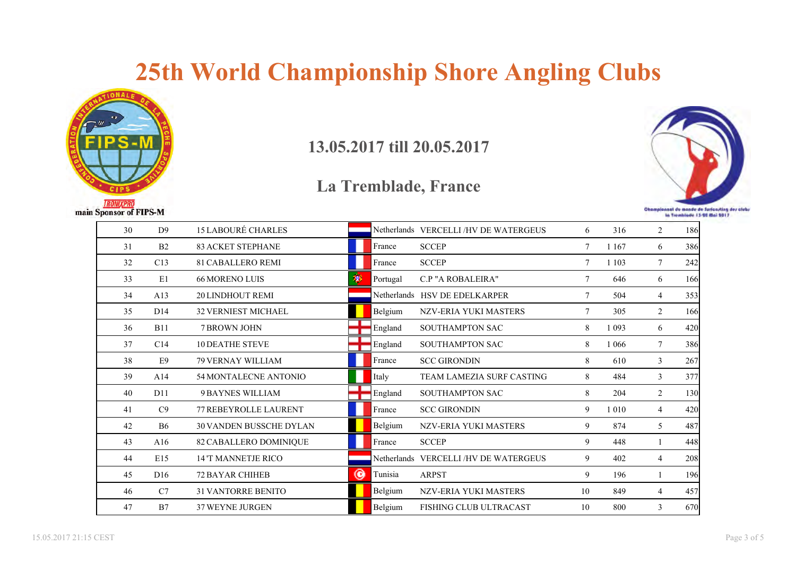

#### **13.05.2017 till 20.05.2017**



| 30 | D <sup>9</sup>  | <b>15 LABOURÉ CHARLES</b>      |   |          | Netherlands VERCELLI/HV DE WATERGEUS | 6              | 316     | $\overline{2}$ | 186        |
|----|-----------------|--------------------------------|---|----------|--------------------------------------|----------------|---------|----------------|------------|
| 31 | B2              | <b>83 ACKET STEPHANE</b>       |   | France   | <b>SCCEP</b>                         | $\overline{7}$ | 1 1 6 7 | 6              | 386        |
| 32 | C13             | <b>81 CABALLERO REMI</b>       |   | France   | <b>SCCEP</b>                         | 7              | 1 1 0 3 | 7              | 242        |
| 33 | E1              | <b>66 MORENO LUIS</b>          | 匆 | Portugal | C.P "A ROBALEIRA"                    | 7              | 646     | 6              | 166        |
| 34 | A13             | <b>20 LINDHOUT REMI</b>        |   |          | Netherlands HSV DE EDELKARPER        | 7              | 504     | $\overline{4}$ | 353        |
| 35 | D14             | <b>32 VERNIEST MICHAEL</b>     |   | Belgium  | NZV-ERIA YUKI MASTERS                | 7              | 305     | 2              | 166        |
| 36 | <b>B11</b>      | <b>7 BROWN JOHN</b>            |   | England  | <b>SOUTHAMPTON SAC</b>               | 8              | 1 0 9 3 | 6              | 420        |
| 37 | C14             | <b>10 DEATHE STEVE</b>         |   | England  | <b>SOUTHAMPTON SAC</b>               | 8              | 1 0 6 6 | $\tau$         | 386        |
| 38 | E <sub>9</sub>  | <b>79 VERNAY WILLIAM</b>       |   | France   | <b>SCC GIRONDIN</b>                  | 8              | 610     | 3              | 267        |
| 39 | A14             | 54 MONTALECNE ANTONIO          |   | Italy    | <b>TEAM LAMEZIA SURF CASTING</b>     | 8              | 484     | 3              | 377        |
| 40 | D11             | 9 BAYNES WILLIAM               |   | England  | <b>SOUTHAMPTON SAC</b>               | $\,8\,$        | 204     | 2              | <b>130</b> |
| 41 | C9              | 77 REBEYROLLE LAURENT          |   | France   | <b>SCC GIRONDIN</b>                  | 9              | 1 0 1 0 | $\overline{4}$ | 420        |
| 42 | <b>B6</b>       | <b>30 VANDEN BUSSCHE DYLAN</b> |   | Belgium  | NZV-ERIA YUKI MASTERS                | 9              | 874     | 5              | 487        |
| 43 | A16             | 82 CABALLERO DOMINIQUE         |   | France   | <b>SCCEP</b>                         | 9              | 448     | $\mathbf{1}$   | 448        |
| 44 | E15             | <b>14 'T MANNETJE RICO</b>     |   |          | Netherlands VERCELLI/HV DE WATERGEUS | 9              | 402     | $\overline{4}$ | 208        |
| 45 | D <sub>16</sub> | <b>72 BAYAR CHIHEB</b>         | ◉ | Tunisia  | <b>ARPST</b>                         | 9              | 196     |                | 196        |
| 46 | C7              | <b>31 VANTORRE BENITO</b>      |   | Belgium  | NZV-ERIA YUKI MASTERS                | 10             | 849     | $\overline{4}$ | 457        |
| 47 | B7              | <b>37 WEYNE JURGEN</b>         |   | Belgium  | <b>FISHING CLUB ULTRACAST</b>        | 10             | 800     | 3              | 670        |
|    |                 |                                |   |          |                                      |                |         |                |            |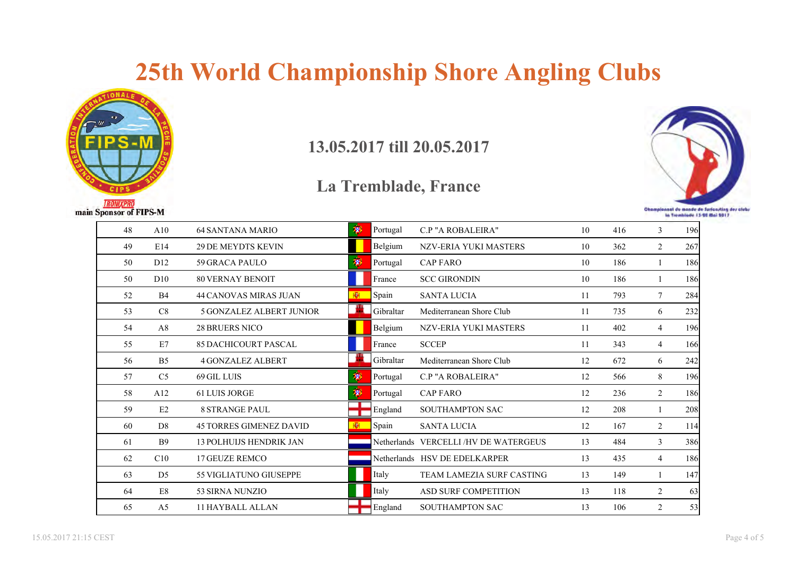

**13.05.2017 till 20.05.2017**



| 48 | A10             | <b>64 SANTANA MARIO</b>         | 萝   | Portugal  | <b>C.P "A ROBALEIRA"</b>             | 10 | 416 | 3              | 196 <sup>1</sup> |
|----|-----------------|---------------------------------|-----|-----------|--------------------------------------|----|-----|----------------|------------------|
| 49 | E14             | <b>29 DE MEYDTS KEVIN</b>       |     | Belgium   | <b>NZV-ERIA YUKI MASTERS</b>         | 10 | 362 | $\overline{2}$ | 267              |
| 50 | D <sub>12</sub> | 59 GRACA PAULO                  | 喇   | Portugal  | <b>CAP FARO</b>                      | 10 | 186 |                | 186              |
| 50 | D10             | <b>80 VERNAY BENOIT</b>         |     | France    | <b>SCC GIRONDIN</b>                  | 10 | 186 |                | 186              |
| 52 | <b>B4</b>       | <b>44 CANOVAS MIRAS JUAN</b>    | 图   | Spain     | <b>SANTA LUCIA</b>                   | 11 | 793 | 7              | 284              |
| 53 | C8              | <b>5 GONZALEZ ALBERT JUNIOR</b> | an. | Gibraltar | Mediterranean Shore Club             | 11 | 735 | 6              | 232              |
| 54 | A8              | <b>28 BRUERS NICO</b>           |     | Belgium   | <b>NZV-ERIA YUKI MASTERS</b>         | 11 | 402 | 4              | 196 <sup>1</sup> |
| 55 | E7              | <b>85 DACHICOURT PASCAL</b>     |     | France    | <b>SCCEP</b>                         | 11 | 343 | 4              | 166              |
| 56 | B <sub>5</sub>  | <b>4 GONZALEZ ALBERT</b>        |     | Gibraltar | Mediterranean Shore Club             | 12 | 672 | 6              | 242              |
| 57 | C <sub>5</sub>  | 69 GIL LUIS                     | 萝   | Portugal  | C.P "A ROBALEIRA"                    | 12 | 566 | 8              | 196              |
| 58 | A12             | <b>61 LUIS JORGE</b>            | 萝   | Portugal  | <b>CAP FARO</b>                      | 12 | 236 | 2              | 186              |
| 59 | E2              | <b>8 STRANGE PAUL</b>           |     | England   | SOUTHAMPTON SAC                      | 12 | 208 |                | 208              |
| 60 | D <sub>8</sub>  | <b>45 TORRES GIMENEZ DAVID</b>  | 櫉   | Spain     | <b>SANTA LUCIA</b>                   | 12 | 167 | $\overline{2}$ | 114              |
| 61 | <b>B</b> 9      | <b>13 POLHUIJS HENDRIK JAN</b>  |     |           | Netherlands VERCELLI/HV DE WATERGEUS | 13 | 484 | 3              | 386              |
| 62 | C10             | <b>17 GEUZE REMCO</b>           |     |           | Netherlands HSV DE EDELKARPER        | 13 | 435 | $\overline{4}$ | 186              |
| 63 | D <sub>5</sub>  | <b>55 VIGLIATUNO GIUSEPPE</b>   |     | Italy     | <b>TEAM LAMEZIA SURF CASTING</b>     | 13 | 149 | 1              | 147              |
| 64 | $\mathrm{E}8$   | 53 SIRNA NUNZIO                 |     | Italy     | <b>ASD SURF COMPETITION</b>          | 13 | 118 | 2              | 63               |
| 65 | A <sub>5</sub>  | <b>11 HAYBALL ALLAN</b>         |     | England   | <b>SOUTHAMPTON SAC</b>               | 13 | 106 | $\overline{2}$ | 53               |
|    |                 |                                 |     |           |                                      |    |     |                |                  |